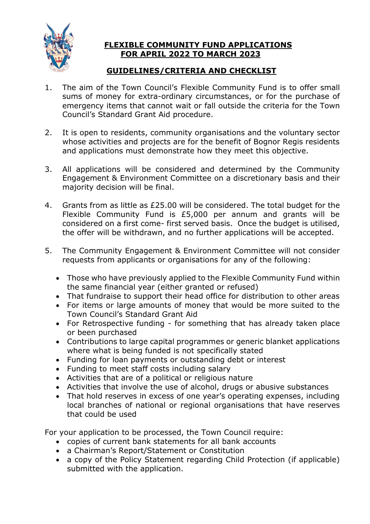

## **FLEXIBLE COMMUNITY FUND APPLICATIONS FOR APRIL 2022 TO MARCH 2023**

# **GUIDELINES/CRITERIA AND CHECKLIST**

- 1. The aim of the Town Council's Flexible Community Fund is to offer small sums of money for extra-ordinary circumstances, or for the purchase of emergency items that cannot wait or fall outside the criteria for the Town Council's Standard Grant Aid procedure.
- 2. It is open to residents, community organisations and the voluntary sector whose activities and projects are for the benefit of Bognor Regis residents and applications must demonstrate how they meet this objective.
- 3. All applications will be considered and determined by the Community Engagement & Environment Committee on a discretionary basis and their majority decision will be final.
- 4. Grants from as little as £25.00 will be considered. The total budget for the Flexible Community Fund is £5,000 per annum and grants will be considered on a first come- first served basis. Once the budget is utilised, the offer will be withdrawn, and no further applications will be accepted.
- 5. The Community Engagement & Environment Committee will not consider requests from applicants or organisations for any of the following:
	- Those who have previously applied to the Flexible Community Fund within the same financial year (either granted or refused)
	- That fundraise to support their head office for distribution to other areas
	- For items or large amounts of money that would be more suited to the Town Council's Standard Grant Aid
	- For Retrospective funding for something that has already taken place or been purchased
	- Contributions to large capital programmes or generic blanket applications where what is being funded is not specifically stated
	- Funding for loan payments or outstanding debt or interest
	- Funding to meet staff costs including salary
	- Activities that are of a political or religious nature
	- Activities that involve the use of alcohol, drugs or abusive substances
	- That hold reserves in excess of one year's operating expenses, including local branches of national or regional organisations that have reserves that could be used

For your application to be processed, the Town Council require:

- copies of current bank statements for all bank accounts
- a Chairman's Report/Statement or Constitution
- a copy of the Policy Statement regarding Child Protection (if applicable) submitted with the application.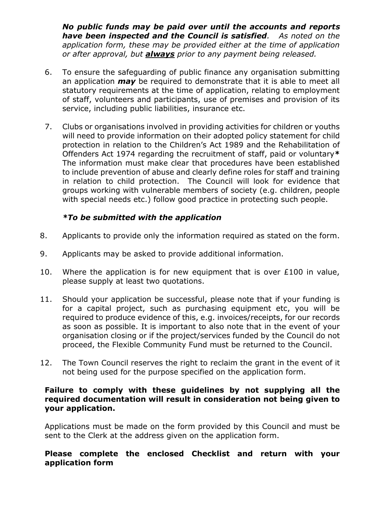*No public funds may be paid over until the accounts and reports have been inspected and the Council is satisfied. As noted on the application form, these may be provided either at the time of application or after approval, but always prior to any payment being released.*

- 6. To ensure the safeguarding of public finance any organisation submitting an application *may* be required to demonstrate that it is able to meet all statutory requirements at the time of application, relating to employment of staff, volunteers and participants, use of premises and provision of its service, including public liabilities, insurance etc.
- 7. Clubs or organisations involved in providing activities for children or youths will need to provide information on their adopted policy statement for child protection in relation to the Children's Act 1989 and the Rehabilitation of Offenders Act 1974 regarding the recruitment of staff, paid or voluntary**\*** The information must make clear that procedures have been established to include prevention of abuse and clearly define roles for staff and training in relation to child protection. The Council will look for evidence that groups working with vulnerable members of society (e.g. children, people with special needs etc.) follow good practice in protecting such people.

## *\*To be submitted with the application*

- 8. Applicants to provide only the information required as stated on the form.
- 9. Applicants may be asked to provide additional information.
- 10. Where the application is for new equipment that is over £100 in value, please supply at least two quotations.
- 11. Should your application be successful, please note that if your funding is for a capital project, such as purchasing equipment etc, you will be required to produce evidence of this, e.g. invoices/receipts, for our records as soon as possible. It is important to also note that in the event of your organisation closing or if the project/services funded by the Council do not proceed, the Flexible Community Fund must be returned to the Council.
- 12. The Town Council reserves the right to reclaim the grant in the event of it not being used for the purpose specified on the application form.

#### **Failure to comply with these guidelines by not supplying all the required documentation will result in consideration not being given to your application.**

Applications must be made on the form provided by this Council and must be sent to the Clerk at the address given on the application form.

#### **Please complete the enclosed Checklist and return with your application form**